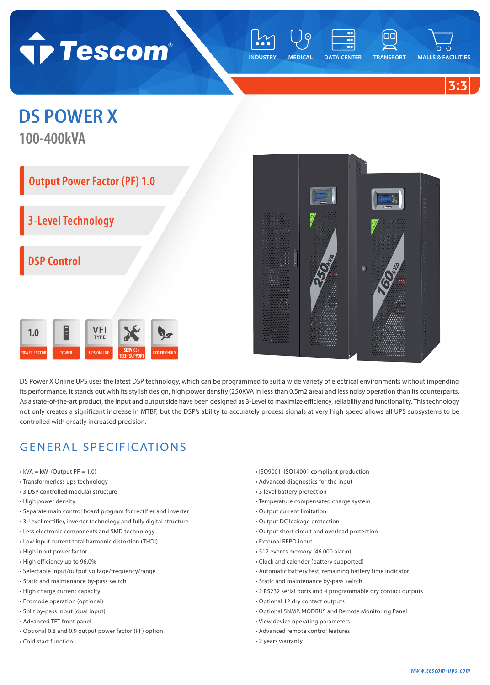

**INDUSTRY MEDICAL DATA CENTER TRANSPORT MALLS & FACILITIES**

**3:3**

## **DS POWER X**

**100-400kVA**

## **Output Power Factor (PF) 1.0**

**3-Level Technology**

**DSP Control**





DS Power X Online UPS uses the latest DSP technology, which can be programmed to suit a wide variety of electrical environments without impending its performance. It stands out with its stylish design, high power density (250KVA in less than 0.5m2 area) and less noisy operation than its counterparts. As a state-of-the-art product, the input and output side have been designed as 3-Level to maximize efficiency, reliability and functionality. This technology not only creates a significant increase in MTBF, but the DSP's ability to accurately process signals at very high speed allows all UPS subsystems to be controlled with greatly increased precision.

## GENERAL SPECIFICATIONS

- $\cdot$  kVA = kW (Output PF = 1.0)
- Transformerless ups technology
- 3 DSP controlled modular structure
- High power density
- Separate main control board program for rectifier and inverter
- 3-Level rectifier, inverter technology and fully digital structure
- Less electronic components and SMD technology
- Low input current total harmonic distortion (THDi)
- High input power factor
- High efficiency up to 96.0%
- Selectable input/output voltage/frequency/range
- Static and maintenance by-pass switch
- High charge current capacity
- Ecomode operation (optional)
- Split by-pass input (dual input)
- Advanced TFT front panel
- Optional 0.8 and 0.9 output power factor (PF) option
- Cold start function
- ISO9001, ISO14001 compliant production
- Advanced diagnostics for the input
- 3 level battery protection
- Temperature compensated charge system
- Output current limitation
- Output DC leakage protection
- Output short circuit and overload protection
- External REPO input
- 512 events memory (46.000 alarm)
- Clock and calender (battery supported)
- Automatic battery test, remaining battery time indicator
- Static and maintenance by-pass switch
- 2 RS232 serial ports and 4 programmable dry contact outputs
- Optional 12 dry contact outputs
- Optional SNMP, MODBUS and Remote Monitoring Panel
- View device operating parameters
- Advanced remote control features
- 2 years warranty